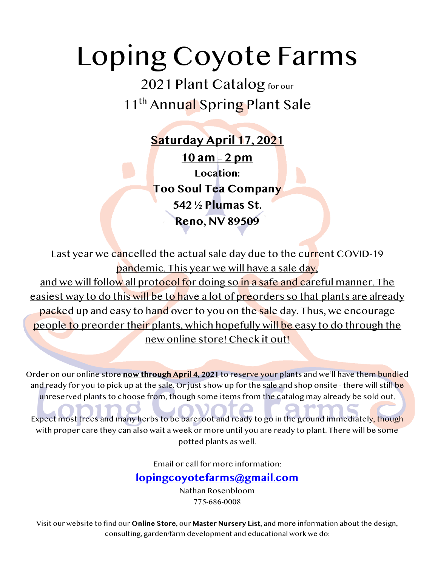# Loping Coyote Farms

2021 Plant Catalog for our 11<sup>th</sup> Annual Spring Plant Sale

> **Saturday April 17, 2021 10 am – 2 pm Location: Too Soul Tea Company 542 ½ Plumas St. Reno, NV 89509**

Last year we cancelled the actual sale day due to the current COVID-19 pandemic. This year we will have a sale day, and we will follow all protocol for doing so in a safe and careful manner. The easiest way to do this will be to have a lot of preorders so that plants are already packed up and easy to hand over to you on the sale day. Thus, we encourage people to preorder their plants, which hopefully will be easy to do through the new online store! Check it out!

Order on our online store **now through April 4, 2021** to reserve your plants and we'll have them bundled and ready for you to pick up at the sale. Or just show up for the sale and shop onsite - there will still be unreserved plants to choose from, though some items from the catalog may already be sold out.

Expect most trees and many herbs to be bareroot and ready to go in the ground immediately, though with proper care they can also wait a week or more until you are ready to plant. There will be some potted plants as well.

Email or call for more information:

# **lopingcoyotefarms@gmail.com**

Nathan Rosenbloom 775-686-0008

Visit our website to find our **Online Store**, our **Master Nursery List**, and more information about the design, consulting, garden/farm development and educational work we do: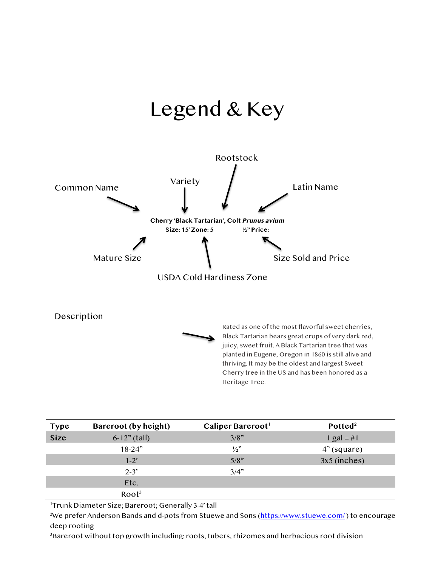# Legend & Key



Rated as one of the most flavorful sweet cherries, Black Tartarian bears great crops of very dark red, juicy, sweet fruit. A Black Tartarian tree that was planted in Eugene, Oregon in 1860 is still alive and thriving. It may be the oldest and largest Sweet Cherry tree in the US and has been honored as a Heritage Tree.

| <b>Type</b> | Bareroot (by height) | Caliper Bareroot <sup>1</sup> | Potted <sup>2</sup> |
|-------------|----------------------|-------------------------------|---------------------|
| <b>Size</b> | $6-12"$ (tall)       | 3/8"                          | 1 gal = #1          |
|             | $18 - 24"$           | $\frac{1}{2}$                 | $4"$ (square)       |
|             | $1-2$ <sup>'</sup>   | 5/8"                          | $3x5$ (inches)      |
|             | $2 - 3'$             | 3/4"                          |                     |
|             | Etc.                 |                               |                     |
|             | Root <sup>3</sup>    |                               |                     |

1 Trunk Diameter Size; Bareroot; Generally 3-4' tall

<sup>2</sup>We prefer Anderson Bands and d-pots from Stuewe and Sons (<u>https://www.stuewe.com/</u> ) to encourage deep rooting

 $^3$ Bareroot without top growth including: roots, tubers, rhizomes and herbacious root division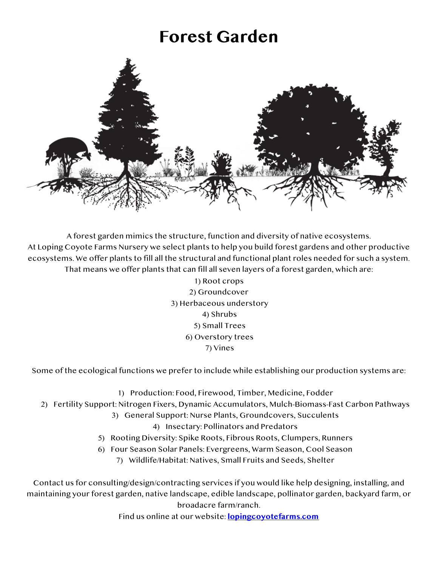# **Forest Garden**



A forest garden mimics the structure, function and diversity of native ecosystems. At Loping Coyote Farms Nursery we select plants to help you build forest gardens and other productive ecosystems. We offer plants to fill all the structural and functional plant roles needed for such a system. That means we offer plants that can fill all seven layers of a forest garden, which are:

> 1) Root crops 2) Groundcover 3) Herbaceous understory 4) Shrubs 5) Small Trees 6) Overstory trees 7) Vines

Some of the ecological functions we prefer to include while establishing our production systems are:

- 1) Production: Food, Firewood, Timber, Medicine, Fodder
- 2) Fertility Support: Nitrogen Fixers, Dynamic Accumulators, Mulch-Biomass-Fast Carbon Pathways
	- 3) General Support: Nurse Plants, Groundcovers, Succulents
		- 4) Insectary: Pollinators and Predators
	- 5) Rooting Diversity: Spike Roots, Fibrous Roots, Clumpers, Runners
	- 6) Four Season Solar Panels: Evergreens, Warm Season, Cool Season
		- 7) Wildlife/Habitat: Natives, Small Fruits and Seeds, Shelter

Contact us for consulting/design/contracting services if you would like help designing, installing, and maintaining your forest garden, native landscape, edible landscape, pollinator garden, backyard farm, or broadacre farm/ranch.

Find us online at our website: **lopingcoyotefarms.com**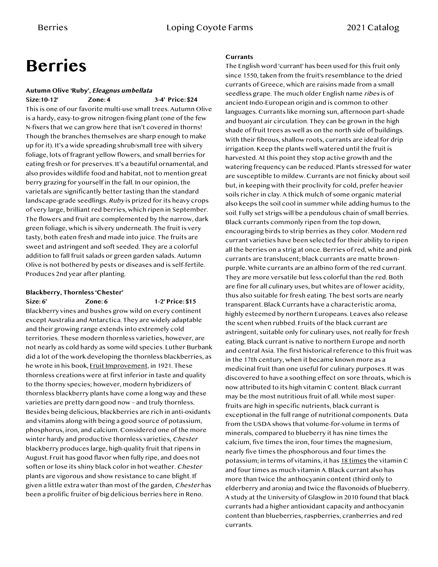# **Berries**

### **Autumn Olive 'Ruby', Eleagnus umbellata**

**Size:10-12' Zone: 4 3-4' Price: \$24** This is one of our favorite multi-use small trees. Autumn Olive is a hardy, easy-to-grow nitrogen-fixing plant (one of the few N-fixers that we can grow here that isn't covered in thorns! Though the branches themselves are sharp enough to make up for it). It's a wide spreading shrub/small tree with silvery foliage, lots of fragrant yellow flowers, and small berries for eating fresh or for preserves. It's a beautiful ornamental, and also provides wildlife food and habitat, not to mention great berry grazing for yourself in the fall. In our opinion, the varietals are significantly better tasting than the standard landscape-grade seedlings. Ruby is prized for its heavy crops of very large, brilliant red berries, which ripen in September. The flowers and fruit are complemented by the narrow, dark green foliage, which is silvery underneath. The fruit is very tasty, both eaten fresh and made into juice. The fruits are sweet and astringent and soft seeded. They are a colorful addition to fall fruit salads or green garden salads. Autumn Olive is not bothered by pests or diseases and is self-fertile. Produces 2nd year after planting.

# **Blackberry, Thornless 'Chester'**

**Size: 6' Zone: 6 1-2' Price: \$15**

Blackberry vines and bushes grow wild on every continent except Australia and Antarctica. They are widely adaptable and their growing range extends into extremely cold territories. These modern thornless varieties, however, are not nearly as cold hardy as some wild species. Luther Burbank did a lot of the work developing the thornless blackberries, as he wrote in his book, Fruit Improvement, in 1921. These thornless creations were at first inferior in taste and quality to the thorny species; however, modern hybridizers of thornless blackberry plants have come a long way and these varieties are pretty darn good now – and truly thornless. Besides being delicious, blackberries are rich in anti-oxidants and vitamins along with being a good source of potassium, phosphorus, iron, and calcium. Considered one of the more winter hardy and productive thornless varieties, Chester blackberry produces large, high-quality fruit that ripens in August. Fruit has good flavor when fully ripe, and does not soften or lose its shiny black color in hot weather. Chester plants are vigorous and show resistance to cane blight. If given a little extra water than most of the garden, Chester has been a prolific fruiter of big delicious berries here in Reno.

#### **Currants**

The English word 'currant' has been used for this fruit only since 1550, taken from the fruit's resemblance to the dried currants of Greece, which are raisins made from a small seedless grape. The much older English name ribes is of ancient Indo-European origin and is common to other languages. Currants like morning sun, afternoon part-shade and buoyant air circulation. They can be grown in the high shade of fruit trees as well as on the north side of buildings. With their fibrous, shallow roots, currants are ideal for drip irrigation. Keep the plants well watered until the fruit is harvested. At this point they stop active growth and the watering frequency can be reduced. Plants stressed for water are susceptible to mildew. Currants are not finicky about soil but, in keeping with their proclivity for cold, prefer heavier soils richer in clay. A thick mulch of some organic material also keeps the soil cool in summer while adding humus to the soil. Fully set strigs will be a pendulous chain of small berries. Black currants commonly ripen from the top down, encouraging birds to strip berries as they color. Modern red currant varieties have been selected for their ability to ripen all the berries on a strig at once. Berries of red, white and pink currants are translucent; black currants are matte brownpurple. White currants are an albino form of the red currant. They are more versatile but less colorful than the red. Both are fine for all culinary uses, but whites are of lower acidity, thus also suitable for fresh eating. The best sorts are nearly transparent. Black Currants have a characteristic aroma, highly esteemed by northern Europeans. Leaves also release the scent when rubbed. Fruits of the black currant are astringent, suitable only for culinary uses, not really for fresh eating. Black currant is native to northern Europe and north and central Asia. The first historical reference to this fruit was in the 17th century, when it became known more as a medicinal fruit than one useful for culinary purposes. It was discovered to have a soothing effect on sore throats, which is now attributed to its high vitamin C content. Black currant may be the most nutritious fruit of all. While most superfruits are high in specific nutrients, black currant is exceptional in the full range of nutritional components. Data from the USDA shows that volume-for-volume in terms of minerals, compared to blueberry it has nine times the calcium, five times the iron, four times the magnesium, nearly five times the phosphorous and four times the potassium; in terms of vitamins, it has 18 times the vitamin C and four times as much vitamin A. Black currant also has more than twice the anthocyanin content (third only to elderberry and aronia) and twice the flavonoids of blueberry. A study at the University of Glasglow in 2010 found that black currants had a higher antioxidant capacity and anthocyanin content than blueberries, raspberries, cranberries and red currants.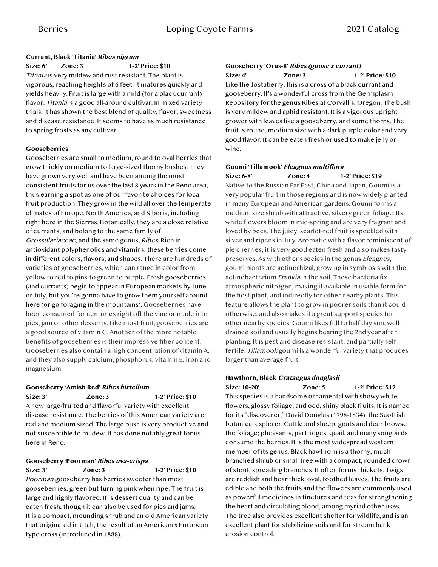#### **Currant, Black** '**Titania' Ribes nigrum**

**Size: 6' Zone: 3 1-2' Price: \$10**

Titania is very mildew and rust resistant. The plant is vigorous, reaching heights of 6 feet. It matures quickly and yields heavily. Fruit is large with a mild (for a black currant) flavor. Titania is a good all-around cultivar. In mixed variety trials, it has shown the best blend of quality, flavor, sweetness and disease resistance. It seems to have as much resistance to spring frosts as any cultivar.

#### **Gooseberries**

Gooseberries are small to medium, round to oval berries that grow thickly on medium to large-sized thorny bushes. They have grown very well and have been among the most consistent fruits for us over the last 8 years in the Reno area, thus earning a spot as one of our favorite choices for local fruit production. They grow in the wild all over the temperate climates of Europe, North America, and Siberia, including right here in the Sierras. Botanically, they are a close relative of currants, and belong to the same family of Grossulariaceae, and the same genus, Ribes. Rich in antioxidant polyphenolics and vitamins, these berries come in different colors, flavors, and shapes. There are hundreds of varieties of gooseberries, which can range in color from yellow to red to pink to green to purple. Fresh gooseberries (and currants) begin to appear in European markets by June or July, but you're gonna have to grow them yourself around here (or go foraging in the mountains). Gooseberries have been consumed for centuries right off the vine or made into pies, jam or other desserts. Like most fruit, gooseberries are a good source of vitamin C. Another of the more notable benefits of gooseberries is their impressive fiber content. Gooseberries also contain a high concentration of vitamin A, and they also supply calcium, phosphorus, vitamin E, iron and magnesium.

### **Gooseberry** '**Amish Red' Ribes hirtellum**

**Size: 3' Zone: 3 1-2' Price: \$10** A new large-fruited and flavorful variety with excellent disease resistance. The berries of this American variety are red and medium sized. The large bush is very productive and not susceptible to mildew. It has done notably great for us here in Reno.

#### **Gooseberry 'Poorman' Ribes uva-crispa**

**Size: 3' Zone: 3 1-2' Price: \$10** Poorman gooseberry has berries sweeter than most gooseberries, green but turning pink when ripe. The fruit is large and highly flavored. It is dessert quality and can be eaten fresh, though it can also be used for pies and jams. It is a compact, mounding shrub and an old American variety that originated in Utah, the result of an American x European type cross (introduced in 1888).

#### **Gooseberry 'Orus-8' Ribes (goose x currant)**

**Size: 4' Zone: 3 1-2' Price: \$10** Like the Jostaberry, this is a cross of a black currant and gooseberry. It's a wonderful cross from the Germplasm Repository for the genus Ribes at Corvallis, Oregon. The bush is very mildew and aphid resistant. It is a vigorous upright grower with leaves like a gooseberry, and some thorns. The fruit is round, medium size with a dark purple color and very good flavor. It can be eaten fresh or used to make jelly or wine.

#### **Goumi 'Tillamook' Eleagnus multiflora**

**Size: 6-8' Zone: 4 1-2' Price: \$19** Native to the Russian Far East, China and Japan, Goumi is a very popular fruit in those regions and is now widely planted in many European and American gardens. Goumi forms a medium size shrub with attractive, silvery green foliage. Its white flowers bloom in mid-spring and are very fragrant and loved by bees. The juicy, scarlet-red fruit is speckled with silver and ripens in July. Aromatic with a flavor reminiscent of pie cherries, it is very good eaten fresh and also makes tasty preserves. As with other species in the genus Eleagnus, goumi plants are actinorhizal, growing in symbiosis with the actinobacterium Frankia in the soil. These bacteria fix atmospheric nitrogen, making it available in usable form for the host plant, and indirectly for other nearby plants. This feature allows the plant to grow in poorer soils than it could otherwise, and also makes it a great support species for other nearby species. Goumi likes full to half day sun, well drained soil and usually begins bearing the 2nd year after planting. It is pest and disease resistant, and partially selffertile. Tillamook goumi is a wonderful variety that produces larger than average fruit.

#### **Hawthorn, Black Crataegus douglasii Size: 10-20' Zone: 5 1-2' Price: \$12**

This species is a handsome ornamental with showy white flowers, glossy foliage, and odd, shiny black fruits. It is named for its "discoverer," David Douglas (1798-1834), the Scottish botanical explorer. Cattle and sheep, goats and deer browse the foliage; pheasants, partridges, quail, and many songbirds consume the berries. It is the most widespread western member of its genus. Black hawthorn is a thorny, muchbranched shrub or small tree with a compact, rounded crown of stout, spreading branches. It often forms thickets. Twigs are reddish and bear thick, oval, toothed leaves. The fruits are edible and both the fruits and the flowers are commonly used as powerful medicines in tinctures and teas for strengthening the heart and circulating blood, among myriad other uses. The tree also provides excellent shelter for wildlife, and is an excellent plant for stabilizing soils and for stream bank erosion control.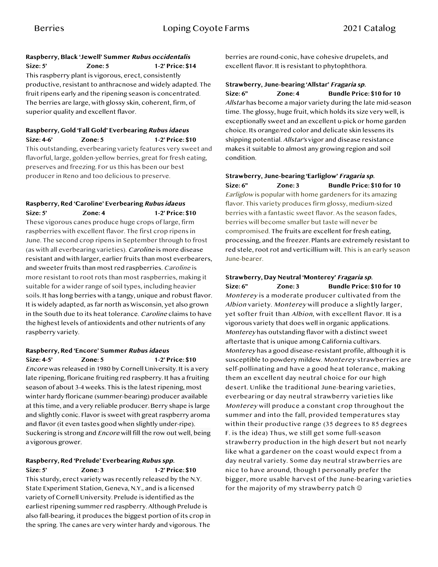#### **Raspberry, Black 'Jewell' Summer Rubus occidentalis**

**Size: 5' Zone: 5 1-2' Price: \$14** This raspberry plant is vigorous, erect, consistently productive, resistant to anthracnose and widely adapted. The fruit ripens early and the ripening season is concentrated. The berries are large, with glossy skin, coherent, firm, of superior quality and excellent flavor.

#### **Raspberry, Gold 'Fall Gold' Everbearing Rubus idaeus Size: 4-6' Zone: 5 1-2' Price: \$10**

This outstanding, everbearing variety features very sweet and flavorful, large, golden-yellow berries, great for fresh eating, preserves and freezing. For us this has been our best producer in Reno and too delicious to preserve.

#### **Raspberry, Red 'Caroline' Everbearing Rubus idaeus Size: 5' Zone: 4 1-2' Price: \$10**

These vigorous canes produce huge crops of large, firm raspberries with excellent flavor. The first crop ripens in June. The second crop ripens in September through to frost (as with all everbearing varieties). Caroline is more disease resistant and with larger, earlier fruits than most everbearers, and sweeter fruits than most red raspberries. Caroline is more resistant to root rots than most raspberries, making it suitable for a wider range of soil types, including heavier soils. It has long berries with a tangy, unique and robust flavor. It is widely adapted, as far north as Wisconsin, yet also grown in the South due to its heat tolerance. Caroline claims to have the highest levels of antioxidents and other nutrients of any raspberry variety.

#### **Raspberry, Red 'Encore' Summer Rubus idaeus Size: 4-5' Zone: 5 1-2' Price: \$10**

Encore was released in 1980 by Cornell University. It is a very late ripening, floricane fruiting red raspberry. It has a fruiting season of about 3-4 weeks. This is the latest ripening, most winter hardy floricane (summer-bearing) producer available at this time, and a very reliable producer. Berry shape is large and slightly conic. Flavor is sweet with great raspberry aroma and flavor (it even tastes good when slightly under-ripe). Suckering is strong and Encore will fill the row out well, being a vigorous grower.

# **Raspberry, Red 'Prelude' Everbearing Rubus spp.**

**Size: 5' Zone: 3 1-2' Price: \$10** This sturdy, erect variety was recently released by the N.Y. State Experiment Station, Geneva, N.Y., and is a licensed variety of Cornell University. Prelude is identified as the earliest ripening summer red raspberry. Although Prelude is also fall-bearing, it produces the biggest portion of its crop in the spring. The canes are very winter hardy and vigorous. The

berries are round-conic, have cohesive drupelets, and excellent flavor. It is resistant to phytophthora.

### **Strawberry, June-bearing 'Allstar' Fragaria sp.**

**Size: 6" Zone: 4 Bundle Price: \$10 for 10** Allstar has become a major variety during the late mid-season time. The glossy, huge fruit, which holds its size very well, is exceptionally sweet and an excellent u-pick or home garden choice. Its orange/red color and delicate skin lessens its shipping potential. Allstar's vigor and disease resistance makes it suitable to almost any growing region and soil condition.

#### **Strawberry, June-bearing 'Earliglow' Fragaria sp. Size: 6" Zone: 3 Bundle Price: \$10 for 10**

Earliglow is popular with home gardeners for its amazing flavor. This variety produces firm glossy, medium-sized berries with a fantastic sweet flavor. As the season fades, berries will become smaller but taste will never be compromised. The fruits are excellent for fresh eating, processing, and the freezer. Plants are extremely resistant to red stele, root rot and verticillium wilt. This is an early season June-bearer.

# **Strawberry, Day Neutral 'Monterey' Fragaria sp.**

**Size: 6" Zone: 3 Bundle Price: \$10 for 10** Monterey is a moderate producer cultivated from the Albion variety. Monterey will produce a slightly larger, yet softer fruit than Albion, with excellent flavor. It is a vigorous variety that does well in organic applications. Monterey has outstanding flavor with a distinct sweet aftertaste that is unique among California cultivars. Monterey has a good disease-resistant profile, although it is susceptible to powdery mildew. Monterey strawberries are self-pollinating and have a good heat tolerance, making them an excellent day neutral choice for our high desert. Unlike the traditional June-bearing varieties, everbearing or day neutral strawberry varieties like Monterey will produce a constant crop throughout the summer and into the fall, provided temperatures stay within their productive range (35 degrees to 85 degrees F. is the idea) Thus, we still get some full-season strawberry production in the high desert but not nearly like what a gardener on the coast would expect from a day neutral variety. Some day neutral strawberries are nice to have around, though I personally prefer the bigger, more usable harvest of the June-bearing varieties for the majority of my strawberry patch  $\circledcirc$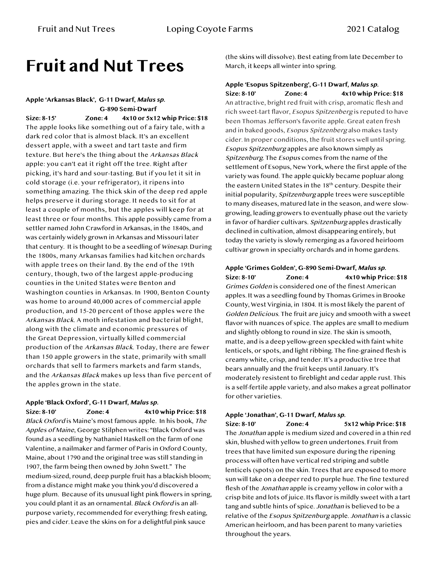# **Fruit and Nut Trees**

**Apple 'Arkansas Black', G-11 Dwarf, Malus sp. G-890 Semi-Dwarf Size: 8-15' Zone: 4 4x10 or 5x12 whip Price: \$18** The apple looks like something out of a fairy tale, with a dark red color that is almost black. It's an excellent dessert apple, with a sweet and tart taste and firm texture. But here's the thing about the Arkansas Black apple: you can't eat it right off the tree. Right after picking, it's hard and sour-tasting. But if you let it sit in cold storage (i.e. your refrigerator), it ripens into something amazing. The thick skin of the deep red apple helps preserve it during storage. It needs to sit for at least a couple of months, but the apples will keep for at least three or four months. This apple possibly came from a settler named John Crawford in Arkansas, in the 1840s, and was certainly widely grown in Arkansas and Missouri later that century. It is thought to be a seedling of Winesap. During the 1800s, many Arkansas families had kitchen orchards with apple trees on their land. By the end of the 19th century, though, two of the largest apple-producing counties in the United States were Benton and Washington counties in Arkansas. In 1900, Benton County was home to around 40,000 acres of commercial apple production, and 15-20 percent of those apples were the Arkansas Black. A moth infestation and bacterial blight, along with the climate and economic pressures of the Great Depression, virtually killed commercial production of the Arkansas Black. Today, there are fewer than 150 apple growers in the state, primarily with small orchards that sell to farmers markets and farm stands, and the Arkansas Black makes up less than five percent of the apples grown in the state.

#### **Apple 'Black Oxford', G-11 Dwarf, Malus sp.**

**Size: 8-10' Zone: 4 4x10 whip Price: \$18** Black Oxford is Maine's most famous apple. In his book, The Apples of Maine, George Stilphen writes: "Black Oxford was found as a seedling by Nathaniel Haskell on the farm of one Valentine, a nailmaker and farmer of Paris in Oxford County, Maine, about 1790 and the original tree was still standing in 1907, the farm being then owned by John Swett." The medium-sized, round, deep purple fruit has a blackish bloom; from a distance might make you think you'd discovered a huge plum. Because of its unusual light pink flowers in spring, you could plant it as an ornamental. Black Oxford is an allpurpose variety, recommended for everything: fresh eating, pies and cider. Leave the skins on for a delightful pink sauce

(the skins will dissolve). Best eating from late December to March, it keeps all winter into spring.

#### **Apple 'Esopus Spitzenberg', G-11 Dwarf, Malus sp. Size: 8-10' Zone: 4 4x10 whip Price: \$18**

An attractive, bright red fruit with crisp, aromatic flesh and rich sweet-tart flavor, Esopus Spitzenberg is reputed to have been Thomas Jefferson's favorite apple. Great eaten fresh and in baked goods, Esopus Spitzenberg also makes tasty cider. In proper conditions, the fruit stores well until spring. Esopus Spitzenburg apples are also known simply as Spitzenburg. The Esopus comes from the name of the settlement of Esopus, New York, where the first apple of the variety was found. The apple quickly became popluar along the eastern United States in the 18th century. Despite their initial popularity, Spitzenburg apple trees were susceptible to many diseases, matured late in the season, and were slowgrowing, leading growers to eventually phase out the variety in favor of hardier cultivars. Spitzenburg apples drastically declined in cultivation, almost disappearing entirely, but today the variety is slowly remerging as a favored heirloom cultivar grown in specialty orchards and in home gardens.

**Apple 'Grimes Golden', G-890 Semi-Dwarf, Malus sp. Size: 8-10' Zone: 4 4x10 whip Price: \$18** Grimes Golden is considered one of the finest American apples. It was a seedling found by Thomas Grimes in Brooke County, West Virginia, in 1804. It is most likely the parent of Golden Delicious. The fruit are juicy and smooth with a sweet flavor with nuances of spice. The apples are small to medium and slightly oblong to round in size. The skin is smooth, matte, and is a deep yellow-green speckled with faint white lenticels, or spots, and light ribbing. The fine-grained flesh is creamy white, crisp, and tender. It's a productive tree that bears annually and the fruit keeps until January. It's moderately resistent to fireblight and cedar apple rust. This is a self-fertile apple variety, and also makes a great pollinator for other varieties.

#### **Apple 'Jonathan', G-11 Dwarf, Malus sp.**

**Size: 8-10' Zone: 4 5x12 whip Price: \$18** The Jonathan apple is medium sized and covered in a thin red skin, blushed with yellow to green undertones. Fruit from trees that have limited sun exposure during the ripening process will often have vertical red striping and subtle lenticels (spots) on the skin. Trees that are exposed to more sun will take on a deeper red to purple hue. The fine textured flesh of the Jonathan apple is creamy yellow in color with a crisp bite and lots of juice. Its flavor is mildly sweet with a tart tang and subtle hints of spice. Jonathan is believed to be a relative of the Esopus Spitzenburg apple. Jonathan is a classic American heirloom, and has been parent to many varieties throughout the years.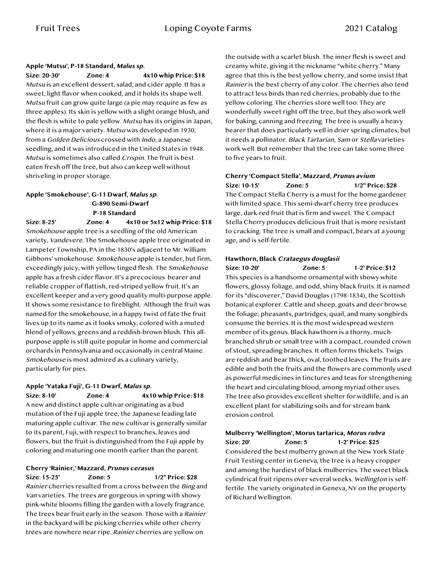#### **Apple 'Mutsu', P-18 Standard, Malus sp.**

**Size: 20-30' Zone: 4 4x10 whip Price: \$18** Mutsu is an excellent dessert, salad, and cider apple. It has a sweet, light flavor when cooked, and it holds its shape well. Mutsu fruit can grow quite large (a pie may require as few as three apples). Its skin is yellow with a slight orange blush, and the flesh is white to pale yellow. Mutsu has its origins in Japan, where it is a major variety. Mutsu was developed in 1930, from a Golden Delicious crossed with Indo, a Japanese seedling, and it was introduced in the United States in 1948. Mutsu is sometimes also called Crispin. The fruit is best eaten fresh off the tree, but also can keep well without shriveling in proper storage.

#### **Apple 'Smokehouse', G-11 Dwarf, Malus sp. G-890 Semi-Dwarf P-18 Standard**

**Size: 8-25' Zone: 4 4x10 or 5x12 whip Price: \$18** Smokehouse apple tree is a seedling of the old American variety, Vandevere. The Smokehouse apple tree originated in Lampeter Township, PA in the 1830's adjacent to Mr. William Gibbons' smokehouse. Smokehouse apple is tender, but firm, exceedingly juicy, with yellow tinged flesh. The Smokehouse apple has a fresh cider flavor. It's a precocious bearer and reliable cropper of flattish, red-striped yellow fruit. It's an excellent keeper and a very good quality multi-purpose apple. It shows some resistance to fireblight. Although the fruit was named for the smokehouse, in a happy twist of fate the fruit lives up to its name as it looks smoky, colored with a muted blend of yellows, greens and a reddish-brown blush. This allpurpose apple is still quite popular in home and commercial orchards in Pennsylvania and occasionally in central Maine. Smokehouse is most admired as a culinary variety, particularly for pies.

#### **Apple 'Yataka Fuji', G-11 Dwarf, Malus sp. Size: 8-10' Zone: 4 4x10 whip Price: \$18**

A new and distinct apple cultivar originating as a bud mutation of the Fuji apple tree, the Japanese leading late maturing apple cultivar. The new cultivar is generally similar to its parent, Fuji, with respect to branches, leaves and flowers, but the fruit is distinguished from the Fuji apple by coloring and maturing one month earlier than the parent.

### **Cherry 'Rainier,' Mazzard, Prunus cerasus**

**Size: 15-25' Zone: 5 1/2" Price: \$28** Rainier cherries resulted from a cross between the Bing and Van varieties. The trees are gorgeous in spring with showy pink-white blooms filling the garden with a lovely fragrance. The trees bear fruit early in the season. Those with a Rainier in the backyard will be picking cherries while other cherry trees are nowhere near ripe. Rainier cherries are yellow on

the outside with a scarlet blush. The inner flesh is sweet and creamy white, giving it the nickname "white cherry." Many agree that this is the best yellow cherry, and some insist that Rainier is the best cherry of any color. The cherries also tend to attract less birds than red cherries, probably due to the yellow coloring. The cherries store well too. They are wonderfully sweet right off the tree, but they also work well for baking, canning and freezing. The tree is usually a heavy bearer that does particularly well in drier spring climates, but it needs a pollinator. Black Tartarian, Sam or Stella varieties work well. But remember that the tree can take some three to five years to fruit.

# **Cherry 'Compact Stella', Mazzard, Prunus avium**

**Size: 10-15' Zone: 5 1/2" Price: \$28** The Compact Stella Cherry is a must for the home gardener with limited space. This semi-dwarf cherry tree produces large, dark-red fruit that is firm and sweet. The Compact Stella Cherry produces delicious fruit that is more resistant to cracking. The tree is small and compact, bears at a young age, and is self-fertile.

#### **Hawthorn, Black Crataegus douglasii**

**Size: 10-20' Zone: 5 1-2' Price: \$12** This species is a handsome ornamental with showy white flowers, glossy foliage, and odd, shiny black fruits. It is named for its "discoverer," David Douglas (1798-1834), the Scottish botanical explorer. Cattle and sheep, goats and deer browse the foliage; pheasants, partridges, quail, and many songbirds consume the berries. It is the most widespread western member of its genus. Black hawthorn is a thorny, muchbranched shrub or small tree with a compact, rounded crown of stout, spreading branches. It often forms thickets. Twigs are reddish and bear thick, oval, toothed leaves. The fruits are edible and both the fruits and the flowers are commonly used as powerful medicines in tinctures and teas for strengthening the heart and circulating blood, among myriad other uses. The tree also provides excellent shelter for wildlife, and is an excellent plant for stabilizing soils and for stream bank erosion control.

#### **Mulberry 'Wellington', Morus tartarica, Morus rubra Size: 20' Zone: 5 1-2' Price: \$25**

Considered the best mulberry grown at the New York State Fruit Testing center in Geneva, the tree is a heavy cropper and among the hardiest of black mulberries. The sweet black cylindrical fruit ripens over several weeks. Wellington is selffertile. The variety originated in Geneva, NY on the property of Richard Wellington.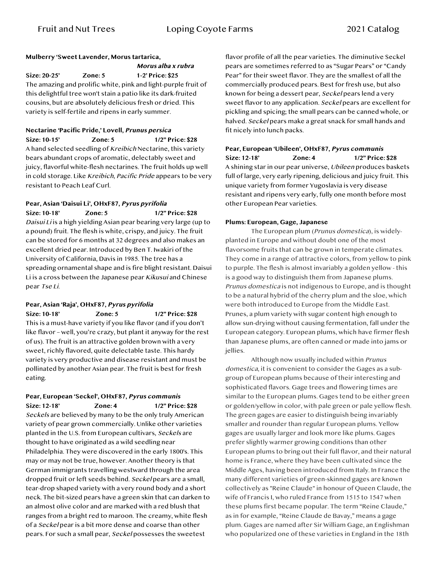### **Mulberry 'Sweet Lavender, Morus tartarica,**

 **Morus alba x rubra Size: 20-25' Zone: 5 1-2' Price: \$25** The amazing and prolific white, pink and light-purple fruit of this delightful tree won't stain a patio like its dark-fruited cousins, but are absolutely delicious fresh or dried. This variety is self-fertile and ripens in early summer.

#### **Nectarine 'Pacific Pride,' Lovell, Prunus persica Size: 10-15' Zone: 5 1/2" Price: \$28**

A hand selected seedling of Kreibich Nectarine, this variety bears abundant crops of aromatic, delectably sweet and juicy, flavorful white-flesh nectarines. The fruit holds up well in cold storage. Like Kreibich, Pacific Pride appears to be very resistant to Peach Leaf Curl.

#### **Pear, Asian 'Daisui Li', OHxF87, Pyrus pyrifolia Size: 10-18' Zone: 5 1/2" Price: \$28**

Daisui Li is a high yielding Asian pear bearing very large (up to a pound) fruit. The flesh is white, crispy, and juicy. The fruit can be stored for 6 months at 32 degrees and also makes an excellent dried pear. Introduced by Ben T. Iwakiri of the University of California, Davis in 1985. The tree has a spreading ornamental shape and is fire blight resistant. Daisui Li is a cross between the Japanese pear Kikusui and Chinese pear Tse Li.

#### **Pear, Asian 'Raja', OHxF87, Pyrus pyrifolia Size: 10-18' Zone: 5 1/2" Price: \$28**

This is a must-have variety if you like flavor (and if you don't like flavor – well, you're crazy, but plant it anyway for the rest of us). The fruit is an attractive golden brown with a very sweet, richly flavored, quite delectable taste. This hardy variety is very productive and disease resistant and must be pollinated by another Asian pear. The fruit is best for fresh eating.

#### **Pear, European 'Seckel', OHxF87, Pyrus communis Size: 12-18' Zone: 4 1/2" Price: \$28**

Seckels are believed by many to be the only truly American variety of pear grown commercially. Unlike other varieties planted in the U.S. from European cultivars, Seckels are thought to have originated as a wild seedling near Philadelphia. They were discovered in the early 1800's. This may or may not be true, however. Another theory is that German immigrants travelling westward through the area dropped fruit or left seeds behind. Seckel pears are a small, tear-drop shaped variety with a very round body and a short neck. The bit-sized pears have a green skin that can darken to an almost olive color and are marked with a red blush that ranges from a bright red to maroon. The creamy, white flesh of a Seckel pear is a bit more dense and coarse than other pears. For such a small pear, Seckel possesses the sweetest

flavor profile of all the pear varieties. The diminutive Seckel pears are sometimes referred to as "Sugar Pears" or "Candy Pear" for their sweet flavor. They are the smallest of all the commercially produced pears. Best for fresh use, but also known for being a dessert pear, Seckel pears lend a very sweet flavor to any application. Seckel pears are excellent for pickling and spicing; the small pears can be canned whole, or halved. Seckel pears make a great snack for small hands and fit nicely into lunch packs.

#### **Pear, European 'Ubileen', OHxF87, Pyrus communis Size: 12-18' Zone: 4 1/2" Price: \$28** A shining star in our pear universe, Ubileen produces baskets full of large, very early ripening, delicious and juicy fruit. This unique variety from former Yugoslavia is very disease resistant and ripens very early, fully one month before most other European Pear varieties.

#### **Plums: European, Gage, Japanese**

The European plum (Prunus domestica), is widelyplanted in Europe and without doubt one of the most flavorsome fruits that can be grown in temperate climates. They come in a range of attractive colors, from yellow to pink to purple. The flesh is almost invariably a golden yellow - this is a good way to distinguish them from Japanese plums. Prunus domestica is not indigenous to Europe, and is thought to be a natural hybrid of the cherry plum and the sloe, which were both introduced to Europe from the Middle East. Prunes, a plum variety with sugar content high enough to allow sun-drying without causing fermentation, fall under the European category. European plums, which have firmer flesh than Japanese plums, are often canned or made into jams or jellies.

Although now usually included within Prunus domestica, it is convenient to consider the Gages as a subgroup of European plums because of their interesting and sophisticated flavors. Gage trees and flowering times are similar to the European plums. Gages tend to be either green or golden/yellow in color, with pale green or pale yellow flesh. The green gages are easier to distinguish being invariably smaller and rounder than regular European plums. Yellow gages are usually larger and look more like plums. Gages prefer slightly warmer growing conditions than other European plums to bring out their full flavor, and their natural home is France, where they have been cultivated since the Middle Ages, having been introduced from Italy. In France the many different varieties of green-skinned gages are known collectively as "Reine Claude" in honour of Queen Claude, the wife of Francis I, who ruled France from 1515 to 1547 when these plums first became popular. The term "Reine Claude," as in for example, "Reine Claude de Bavay," means a gage plum. Gages are named after Sir William Gage, an Englishman who popularized one of these varieties in England in the 18th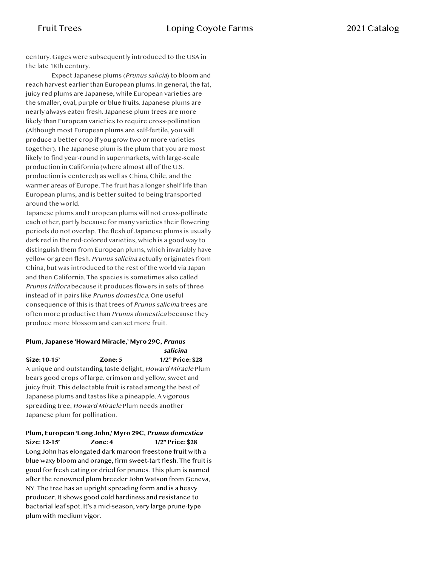century. Gages were subsequently introduced to the USA in the late 18th century.

Expect Japanese plums (Prunus salicia) to bloom and reach harvest earlier than European plums. In general, the fat, juicy red plums are Japanese, while European varieties are the smaller, oval, purple or blue fruits. Japanese plums are nearly always eaten fresh. Japanese plum trees are more likely than European varieties to require cross-pollination (Although most European plums are self-fertile, you will produce a better crop if you grow two or more varieties together). The Japanese plum is the plum that you are most likely to find year-round in supermarkets, with large-scale production in California (where almost all of the U.S. production is centered) as well as China, Chile, and the warmer areas of Europe. The fruit has a longer shelf life than European plums, and is better suited to being transported around the world.

Japanese plums and European plums will not cross-pollinate each other, partly because for many varieties their flowering periods do not overlap. The flesh of Japanese plums is usually dark red in the red-colored varieties, which is a good way to distinguish them from European plums, which invariably have yellow or green flesh. Prunus salicina actually originates from China, but was introduced to the rest of the world via Japan and then California. The species is sometimes also called Prunus triflora because it produces flowers in sets of three instead of in pairs like Prunus domestica. One useful consequence of this is that trees of Prunus salicina trees are often more productive than Prunus domestica because they produce more blossom and can set more fruit.

#### **Plum, Japanese 'Howard Miracle,' Myro 29C, Prunus salicina**

**Size: 10-15' Zone: 5 1/2" Price: \$28** A unique and outstanding taste delight, Howard Miracle Plum bears good crops of large, crimson and yellow, sweet and juicy fruit. This delectable fruit is rated among the best of Japanese plums and tastes like a pineapple. A vigorous spreading tree, Howard Miracle Plum needs another

Japanese plum for pollination.

#### **Plum, European 'Long John,' Myro 29C, Prunus domestica Size: 12-15' Zone: 4 1/2" Price: \$28**

Long John has elongated dark maroon freestone fruit with a blue waxy bloom and orange, firm sweet-tart flesh. The fruit is good for fresh eating or dried for prunes. This plum is named after the renowned plum breeder John Watson from Geneva, NY. The tree has an upright spreading form and is a heavy producer. It shows good cold hardiness and resistance to bacterial leaf spot. It's a mid-season, very large prune-type plum with medium vigor.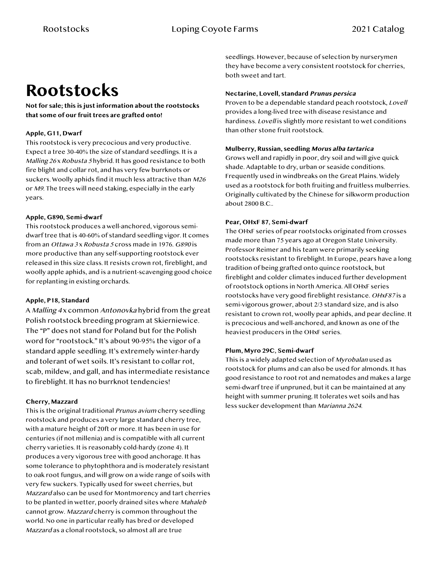# **Rootstocks**

**Not for sale; this is just information about the rootstocks that some of our fruit trees are grafted onto!**

#### **Apple, G11, Dwarf**

This rootstock is very precocious and very productive. Expect a tree 30-40% the size of standard seedlings. It is a Malling 26 x Robusta 5 hybrid. It has good resistance to both fire blight and collar rot, and has very few burrknots or suckers. Woolly aphids find it much less attractive than M26 or M9. The trees will need staking, especially in the early years.

#### **Apple, G890, Semi-dwarf**

This rootstock produces a well-anchored, vigorous semidwarf tree that is 40-60% of standard seedling vigor. It comes from an Ottawa 3x Robusta 5 cross made in 1976. G890 is more productive than any self-supporting rootstock ever released in this size class. It resists crown rot, fireblight, and woolly apple aphids, and is a nutrient-scavenging good choice for replanting in existing orchards.

#### **Apple, P18, Standard**

A Malling 4 x common Antonovka hybrid from the great Polish rootstock breeding program at Skierniewice. The "P" does not stand for Poland but for the Polish word for "rootstock." It's about 90-95% the vigor of a standard apple seedling. It's extremely winter-hardy and tolerant of wet soils. It's resistant to collar rot, scab, mildew, and gall, and has intermediate resistance to fireblight. It has no burrknot tendencies!

#### **Cherry, Mazzard**

This is the original traditional Prunus avium cherry seedling rootstock and produces a very large standard cherry tree, with a mature height of 20ft or more. It has been in use for centuries (if not millenia) and is compatible with all current cherry varieties. It is reasonably cold-hardy (zone 4). It produces a very vigorous tree with good anchorage. It has some tolerance to phytophthora and is moderately resistant to oak root fungus, and will grow on a wide range of soils with very few suckers. Typically used for sweet cherries, but Mazzard also can be used for Montmorency and tart cherries to be planted in wetter, poorly drained sites where Mahaleb cannot grow. Mazzard cherry is common throughout the world. No one in particular really has bred or developed Mazzard as a clonal rootstock, so almost all are true

seedlings. However, because of selection by nurserymen they have become a very consistent rootstock for cherries, both sweet and tart.

#### **Nectarine, Lovell, standard Prunus persica**

Proven to be a dependable standard peach rootstock, Lovell provides a long-lived tree with disease resistance and hardiness. Lovell is slightly more resistant to wet conditions than other stone fruit rootstock.

#### **Mulberry, Russian, seedling Morus alba tartarica**

Grows well and rapidly in poor, dry soil and will give quick shade. Adaptable to dry, urban or seaside conditions. Frequently used in windbreaks on the Great Plains. Widely used as a rootstock for both fruiting and fruitless mulberries. Originally cultivated by the Chinese for silkworm production about 2800 B.C..

#### **Pear, OHxF 87, Semi-dwarf**

The OHxF series of pear rootstocks originated from crosses made more than 75 years ago at Oregon State University. Professor Reimer and his team were primarily seeking rootstocks resistant to fireblight. In Europe, pears have a long tradition of being grafted onto quince rootstock, but fireblight and colder climates induced further development of rootstock options in North America. All OHxF series rootstocks have very good fireblight resistance. OHxF87 is a semi-vigorous grower, about 2/3 standard size, and is also resistant to crown rot, woolly pear aphids, and pear decline. It is precocious and well-anchored, and known as one of the heaviest producers in the OHxF series.

#### **Plum, Myro 29C, Semi-dwarf**

This is a widely adapted selection of Myrobalan used as rootstock for plums and can also be used for almonds. It has good resistance to root rot and nematodes and makes a large semi-dwarf tree if unpruned, but it can be maintained at any height with summer pruning. It tolerates wet soils and has less sucker development than Marianna 2624.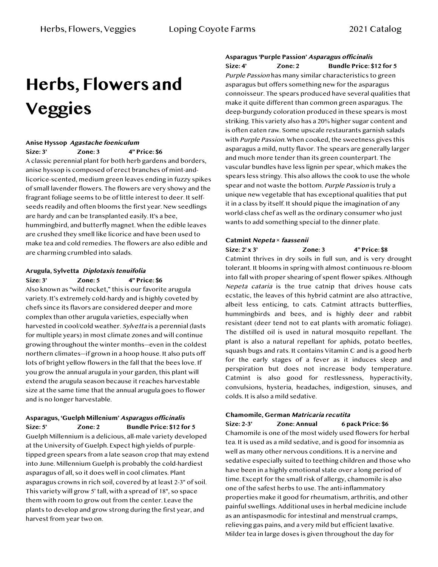# **Herbs, Flowers and Veggies**

#### **Anise Hyssop Agastache foeniculum**

**Size: 3' Zone: 3 4" Price: \$6**

A classic perennial plant for both herb gardens and borders, anise hyssop is composed of erect branches of mint-andlicorice-scented, medium green leaves ending in fuzzy spikes of small lavender flowers. The flowers are very showy and the fragrant foliage seems to be of little interest to deer. It selfseeds readily and often blooms the first year. New seedlings are hardy and can be transplanted easily. It's a bee, hummingbird, and butterfly magnet. When the edible leaves are crushed they smell like licorice and have been used to make tea and cold remedies. The flowers are also edible and are charming crumbled into salads.

### **Arugula, Sylvetta Diplotaxis tenuifolia**

**Size: 3' Zone: 5 4" Price: \$6** Also known as "wild rocket," this is our favorite arugula variety. It's extremely cold-hardy and is highly coveted by chefs since its flavors are considered deeper and more complex than other arugula varieties, especially when harvested in cool/cold weather. Sylvetta is a perennial (lasts for multiple years) in most climate zones and will continue growing throughout the winter months—even in the coldest northern climates—if grown in a hoop house. It also puts off lots of bright yellow flowers in the fall that the bees love. If you grow the annual arugula in your garden, this plant will extend the arugula season because it reaches harvestable size at the same time that the annual arugula goes to flower and is no longer harvestable.

#### **Asparagus, 'Guelph Millenium' Asparagus officinalis Size: 5' Zone: 2 Bundle Price: \$12 for 5**

Guelph Millennium is a delicious, all-male variety developed at the University of Guelph. Expect high yields of purpletipped green spears from a late season crop that may extend into June. Millennium Guelph is probably the cold-hardiest asparagus of all, so it does well in cool climates. Plant asparagus crowns in rich soil, covered by at least 2-3" of soil. This variety will grow 5' tall, with a spread of 18", so space them with room to grow out from the center. Leave the plants to develop and grow strong during the first year, and harvest from year two on.

**Asparagus 'Purple Passion' Asparagus officinalis**

**Size: 4' Zone: 2 Bundle Price: \$12 for 5** Purple Passion has many similar characteristics to green asparagus but offers something new for the asparagus connoisseur. The spears produced have several qualities that make it quite different than common green asparagus. The deep-burgundy coloration produced in these spears is most striking. This variety also has a 20% higher sugar content and is often eaten raw. Some upscale restaurants garnish salads with *Purple Passion*. When cooked, the sweetness gives this asparagus a mild, nutty flavor. The spears are generally larger and much more tender than its green counterpart. The vascular bundles have less lignin per spear, which makes the spears less stringy. This also allows the cook to use the whole spear and not waste the bottom. Purple Passion is truly a unique new vegetable that has exceptional qualities that put it in a class by itself. It should pique the imagination of any world-class chef as well as the ordinary consumer who just wants to add something special to the dinner plate.

#### **Catmint Nepeta** *×* **faassenii**

**Size: 2' x 3' Zone: 3 4" Price: \$8** Catmint thrives in dry soils in full sun, and is very drought tolerant. It blooms in spring with almost continuous re-bloom into fall with proper shearing of spent flower spikes. Although Nepeta cataria is the true catnip that drives house cats ecstatic, the leaves of this hybrid catmint are also attractive, albeit less enticing, to cats. Catmint attracts butterflies, hummingbirds and bees, and is highly deer and rabbit resistant (deer tend not to eat plants with aromatic foliage). The distilled oil is used in natural mosquito repellant. The plant is also a natural repellant for aphids, potato beetles, squash bugs and rats. It contains Vitamin C and is a good herb for the early stages of a fever as it induces sleep and perspiration but does not increase body temperature. Catmint is also good for restlessness, hyperactivity, convulsions, hysteria, headaches, indigestion, sinuses, and colds. It is also a mild sedative.

#### **Chamomile, German Matricaria recutita**

**Size: 2-3' Zone: Annual 6 pack Price: \$6** Chamomile is one of the most widely used flowers for herbal tea. It is used as a mild sedative, and is good for insomnia as well as many other nervous conditions. It is a nervine and sedative especially suited to teething children and those who have been in a highly emotional state over a long period of time. Except for the small risk of allergy, chamomile is also one of the safest herbs to use. The anti-inflammatory properties make it good for rheumatism, arthritis, and other painful swellings. Additional uses in herbal medicine include as an antispasmodic for intestinal and menstrual cramps, relieving gas pains, and a very mild but efficient laxative. Milder tea in large doses is given throughout the day for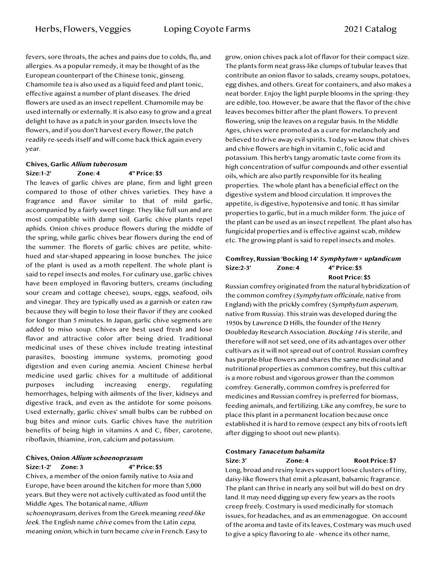fevers, sore throats, the aches and pains due to colds, flu, and allergies. As a popular remedy, it may be thought of as the European counterpart of the Chinese tonic, ginseng. Chamomile tea is also used as a liquid feed and plant tonic, effective against a number of plant diseases. The dried flowers are used as an insect repellent. Chamomile may be used internally or externally. It is also easy to grow and a great delight to have as a patch in your garden. Insects love the flowers, and if you don't harvest every flower, the patch readily re-seeds itself and will come back thick again every year.

## **Chives, Garlic Allium tuberosum**

#### **Size:1-2' Zone: 4 4" Price: \$5** The leaves of garlic chives are plane, firm and light green compared to those of other chives varieties. They have a fragrance and flavor similar to that of mild garlic, accompanied by a fairly sweet tinge. They like full sun and are most compatible with damp soil. Garlic chive plants repel aphids. Onion chives produce flowers during the middle of the spring, while garlic chives bear flowers during the end of the summer. The florets of garlic chives are petite, whitehued and star-shaped appearing in loose bunches. The juice of the plant is used as a moth repellent. The whole plant is said to repel insects and moles. For culinary use, garlic chives have been employed in flavoring butters, creams (including sour cream and cottage cheese), soups, eggs, seafood, oils and vinegar. They are typically used as a garnish or eaten raw because they will begin to lose their flavor if they are cooked for longer than 5 minutes. In Japan, garlic chive segments are added to miso soup. Chives are best used fresh and lose flavor and attractive color after being dried. Traditional medicinal uses of these chives include treating intestinal parasites, boosting immune systems, promoting good digestion and even curing anemia. Ancient Chinese herbal medicine used garlic chives for a multitude of additional purposes including increasing energy, regulating hemorrhages, helping with ailments of the liver, kidneys and digestive track, and even as the antidote for some poisons. Used externally, garlic chives' small bulbs can be rubbed on bug bites and minor cuts. Garlic chives have the nutrition benefits of being high in vitamins A and C, fiber, carotene, riboflavin, thiamine, iron, calcium and potassium.

#### **Chives, Onion Allium schoenoprasum Size:1-2' Zone: 3 4" Price: \$5**

Chives, a member of the onion family native to Asia and Europe, have been around the kitchen for more than 5,000 years. But they were not actively cultivated as food until the Middle Ages. The botanical name, Allium

schoenoprasum, derives from the Greek meaning reed-like leek. The English name chive comes from the Latin cepa, meaning onion, which in turn became cive in French. Easy to grow, onion chives pack a lot of flavor for their compact size. The plants form neat grass-like clumps of tubular leaves that contribute an onion flavor to salads, creamy soups, potatoes, egg dishes, and others. Great for containers, and also makes a neat border. Enjoy the light purple blooms in the spring–they are edible, too. However, be aware that the flavor of the chive leaves becomes bitter after the plant flowers. To prevent flowering, snip the leaves on a regular basis. In the Middle Ages, chives were promoted as a cure for melancholy and believed to drive away evil spirits. Today we know that chives and chive flowers are high in vitamin C, folic acid and potassium. This herb's tangy aromatic taste come from its high concentration of sulfur compounds and other essential oils, which are also partly responsible for its healing properties. The whole plant has a beneficial effect on the digestive system and blood circulation. It improves the appetite, is digestive, hypotensive and tonic. It has similar properties to garlic, but in a much milder form. The juice of the plant can be used as an insect repellent. The plant also has fungicidal properties and is effective against scab, mildew etc. The growing plant is said to repel insects and moles.

#### **Comfrey, Russian 'Bocking 14' Symphytum** *×* **uplandicum Size:2-3' Zone: 4 4" Price: \$5 Root Price: \$5**

Russian comfrey originated from the natural hybridization of the common comfrey (Symphytum officinale, native from England) with the prickly comfrey (Symphytum asperum, native from Russia). This strain was developed during the 1950s by Lawrence D Hills, the founder of the Henry Doubleday Research Association. Bocking 14 is sterile, and therefore will not set seed, one of its advantages over other cultivars as it will not spread out of control. Russian comfrey has purple-blue flowers and shares the same medicinal and nutritional properties as common comfrey, but this cultivar is a more robust and vigorous grower than the common comfrey. Generally, common comfrey is preferred for medicines and Russian comfrey is preferred for biomass, feeding animals, and fertilizing. Like any comfrey, be sure to place this plant in a permanent location because once established it is hard to remove (expect any bits of roots left after digging to shoot out new plants).

#### **Costmary Tanacetum balsamita**

**Size: 3' Zone: 4 Root Price: \$7** Long, broad and resiny leaves support loose clusters of tiny, daisy-like flowers that emit a pleasant, balsamic fragrance. The plant can thrive in nearly any soil but will do best on dry land. It may need digging up every few years as the roots creep freely. Costmary is used medicinally for stomach issues, for headaches, and as an emmenagogue. On account of the aroma and taste of its leaves, Costmary was much used to give a spicy flavoring to ale - whence its other name,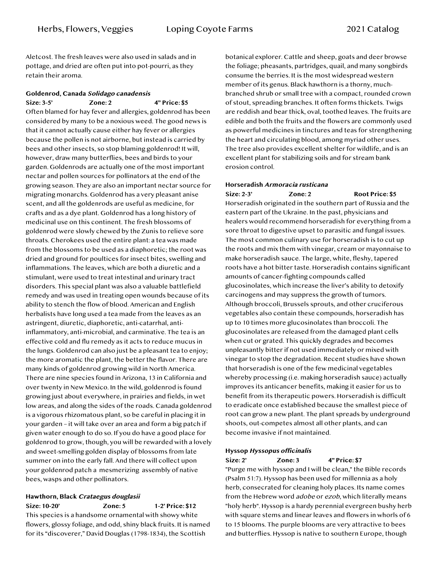Aletcost. The fresh leaves were also used in salads and in pottage, and dried are often put into pot-pourri, as they retain their aroma.

## **Goldenrod, Canada Solidago canadensis**

**Size: 3-5' Zone: 2 4" Price: \$5** Often blamed for hay fever and allergies, goldenrod has been considered by many to be a noxious weed. The good news is that it cannot actually cause either hay fever or allergies because the pollen is not airborne, but instead is carried by bees and other insects, so stop blaming goldenrod! It will, however, draw many butterflies, bees and birds to your garden. Goldenrods are actually one of the most important nectar and pollen sources for pollinators at the end of the growing season. They are also an important nectar source for migrating monarchs. Goldenrod has a very pleasant anise scent, and all the goldenrods are useful as medicine, for crafts and as a dye plant. Goldenrod has a long history of medicinal use on this continent. The fresh blossoms of goldenrod were slowly chewed by the Zunis to relieve sore throats. Cherokees used the entire plant: a tea was made from the blossoms to be used as a diaphoretic; the root was dried and ground for poultices for insect bites, swelling and inflammations. The leaves, which are both a diuretic and a stimulant, were used to treat intestinal and urinary tract disorders. This special plant was also a valuable battlefield remedy and was used in treating open wounds because of its ability to stench the flow of blood. American and English herbalists have long used a tea made from the leaves as an astringent, diuretic, diaphoretic, anti-catarrhal, antiinflammatory, anti-microbial, and carminative. The tea is an effective cold and flu remedy as it acts to reduce mucus in the lungs. Goldenrod can also just be a pleasant tea to enjoy; the more aromatic the plant, the better the flavor. There are many kinds of goldenrod growing wild in North America. There are nine species found in Arizona, 13 in California and over twenty in New Mexico. In the wild, goldenrod is found growing just about everywhere, in prairies and fields, in wet low areas, and along the sides of the roads. Canada goldenrod is a vigorous rhizomatous plant, so be careful in placing it in your garden – it will take over an area and form a big patch if given water enough to do so. If you do have a good place for goldenrod to grow, though, you will be rewarded with a lovely and sweet-smelling golden display of blossoms from late summer on into the early fall. And there will collect upon your goldenrod patch a mesmerizing assembly of native bees, wasps and other pollinators.

### **Hawthorn, Black Crataegus douglasii**

**Size: 10-20' Zone: 5 1-2' Price: \$12** This species is a handsome ornamental with showy white flowers, glossy foliage, and odd, shiny black fruits. It is named for its "discoverer," David Douglas (1798-1834), the Scottish

botanical explorer. Cattle and sheep, goats and deer browse the foliage; pheasants, partridges, quail, and many songbirds consume the berries. It is the most widespread western member of its genus. Black hawthorn is a thorny, muchbranched shrub or small tree with a compact, rounded crown of stout, spreading branches. It often forms thickets. Twigs are reddish and bear thick, oval, toothed leaves. The fruits are edible and both the fruits and the flowers are commonly used as powerful medicines in tinctures and teas for strengthening the heart and circulating blood, among myriad other uses. The tree also provides excellent shelter for wildlife, and is an excellent plant for stabilizing soils and for stream bank erosion control.

#### **Horseradish Armoracia rusticana Size: 2-3' Zone: 2 Root Price: \$5**

Horseradish originated in the southern part of Russia and the eastern part of the Ukraine. In the past, physicians and healers would recommend horseradish for everything from a sore throat to digestive upset to parasitic and fungal issues. The most common culinary use for horseradish is to cut up the roots and mix them with vinegar, cream or mayonnaise to make horseradish sauce. The large, white, fleshy, tapered roots have a hot bitter taste. Horseradish contains significant amounts of cancer-fighting compounds called glucosinolates, which increase the liver's ability to detoxify carcinogens and may suppress the growth of tumors. Although broccoli, Brussels sprouts, and other cruciferous vegetables also contain these compounds, horseradish has up to 10 times more glucosinolates than broccoli. The glucosinolates are released from the damaged plant cells when cut or grated. This quickly degrades and becomes unpleasantly bitter if not used immediately or mixed with vinegar to stop the degradation. Recent studies have shown that horseradish is one of the few medicinal vegetables whereby processing (i.e. making horseradish sauce) actually improves its anticancer benefits, making it easier for us to benefit from its therapeutic powers. Horseradish is difficult to eradicate once established because the smallest piece of root can grow a new plant. The plant spreads by underground shoots, out-competes almost all other plants, and can become invasive if not maintained.

#### **Hyssop Hyssopus officinalis**

### **Size: 2' Zone: 3 4" Price: \$7** "Purge me with hyssop and I will be clean," the Bible records (Psalm 51:7). Hyssop has been used for millennia as a holy herb, consecrated for cleaning holy places. Its name comes from the Hebrew word *adobe* or ezob, which literally means "holy herb". Hyssop is a hardy perennial evergreen bushy herb with square stems and linear leaves and flowers in whorls of 6 to 15 blooms. The purple blooms are very attractive to bees and butterflies. Hyssop is native to southern Europe, though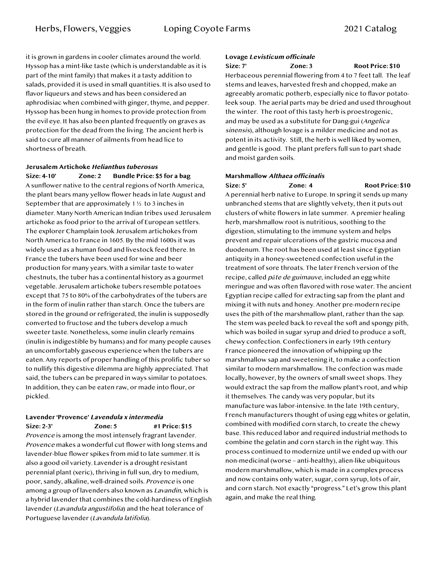it is grown in gardens in cooler climates around the world. Hyssop has a mint-like taste (which is understandable as it is part of the mint family) that makes it a tasty addition to salads, provided it is used in small quantities. It is also used to flavor liqueurs and stews and has been considered an aphrodisiac when combined with ginger, thyme, and pepper. Hyssop has been hung in homes to provide protection from the evil eye. It has also been planted frequently on graves as protection for the dead from the living. The ancient herb is said to cure all manner of ailments from head lice to shortness of breath.

#### **Jerusalem Artichoke Helianthus tuberosus Size: 4-10' Zone: 2 Bundle Price: \$5 for a bag**

A sunflower native to the central regions of North America, the plant bears many yellow flower heads in late August and September that are approximately 1 ½ to 3 inches in diameter. Many North American Indian tribes used Jerusalem artichoke as food prior to the arrival of European settlers. The explorer Champlain took Jerusalem artichokes from North America to France in 1605. By the mid 1600s it was widely used as a human food and livestock feed there. In France the tubers have been used for wine and beer production for many years. With a similar taste to water chestnuts, the tuber has a continental history as a gourmet vegetable. Jerusalem artichoke tubers resemble potatoes except that 75 to 80% of the carbohydrates of the tubers are in the form of inulin rather than starch. Once the tubers are stored in the ground or refrigerated, the inulin is supposedly converted to fructose and the tubers develop a much sweeter taste. Nonetheless, some inulin clearly remains (inulin is indigestible by humans) and for many people causes an uncomfortably gaseous experience when the tubers are eaten. Any reports of proper handling of this prolific tuber so to nullify this digestive dilemma are highly appreciated. That said, the tubers can be prepared in ways similar to potatoes. In addition, they can be eaten raw, or made into flour, or pickled.

# **Lavender 'Provence' Lavendula x intermedia**

Size: 2-3' **Zone: 5** #1 Price: \$15

Provence is among the most intensely fragrant lavender. Provence makes a wonderful cut flower with long stems and lavender-blue flower spikes from mid to late summer. It is also a good oil variety. Lavender is a drought resistant perennial plant (xeric), thriving in full sun, dry to medium, poor, sandy, alkaline, well-drained soils. Provence is one among a group of lavenders also known as Lavandin, which is a hybrid lavender that combines the cold-hardiness of English lavender (Lavandula angustifolia) and the heat tolerance of Portuguese lavender (Lavandula latifolia).

### **Lovage Levisticum officinale**

**Size: 7' Zone: 3 Root Price: \$10**

Herbaceous perennial flowering from 4 to 7 feet tall. The leaf stems and leaves, harvested fresh and chopped, make an agreeably aromatic potherb, especially nice to flavor potatoleek soup. The aerial parts may be dried and used throughout the winter. The root of this tasty herb is proestrogenic, and may be used as a substitute for Dang-gui (Angelica sinensis), although lovage is a milder medicine and not as potent in its activity. Still, the herb is well liked by women, and gentle is good. The plant prefers full sun to part shade and moist garden soils.

#### **Marshmallow Althaea officinalis**

Size: 5' **Zone: 4** Root Price: \$10 A perennial herb native to Europe. In spring it sends up many unbranched stems that are slightly velvety, then it puts out clusters of white flowers in late summer. A premier healing herb, marshmallow root is nutritious, soothing to the digestion, stimulating to the immune system and helps prevent and repair ulcerations of the gastric mucosa and duodenum. The root has been used at least since Egyptian antiquity in a honey-sweetened confection useful in the treatment of sore throats. The later French version of the recipe, called p*â*te de guimauve, included an egg white meringue and was often flavored with rose water. The ancient Egyptian recipe called for extracting sap from the plant and mixing it with nuts and honey. Another pre-modern recipe uses the pith of the marshmallow plant, rather than the sap. The stem was peeled back to reveal the soft and spongy pith, which was boiled in sugar syrup and dried to produce a soft, chewy confection. Confectioners in early 19th century France pioneered the innovation of whipping up the marshmallow sap and sweetening it, to make a confection similar to modern marshmallow. The confection was made locally, however, by the owners of small sweet shops. They would extract the sap from the mallow plant's root, and whip it themselves. The candy was very popular, but its manufacture was labor-intensive. In the late 19th century, French manufacturers thought of using egg whites or gelatin, combined with modified corn starch, to create the chewy base. This reduced labor and required industrial methods to combine the gelatin and corn starch in the right way. This process continued to modernize until we ended up with our non-medicinal (worse – anti-healthy), alien-like ubiquitous modern marshmallow, which is made in a complex process and now contains only water, sugar, corn syrup, lots of air, and corn starch. Not exactly "progress." Let's grow this plant again, and make the real thing.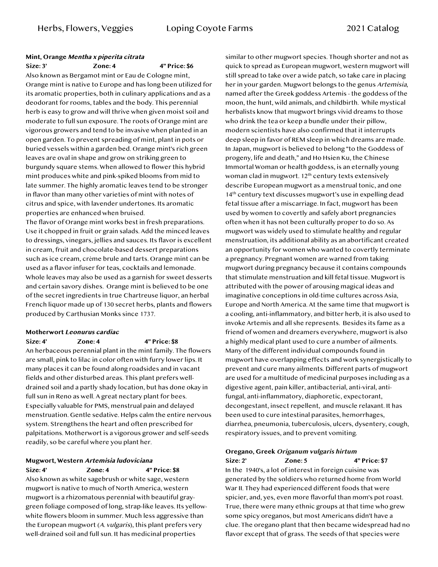#### **Mint, Orange Mentha x piperita citrata Size: 3' Zone: 4 4" Price: \$6**

Also known as Bergamot mint or Eau de Cologne mint, Orange mint is native to Europe and has long been utilized for its aromatic properties, both in culinary applications and as a deodorant for rooms, tables and the body. This perennial herb is easy to grow and will thrive when given moist soil and moderate to full sun exposure. The roots of Orange mint are vigorous growers and tend to be invasive when planted in an open garden. To prevent spreading of mint, plant in pots or buried vessels within a garden bed. Orange mint's rich green leaves are oval in shape and grow on striking green to burgundy square stems. When allowed to flower this hybrid mint produces white and pink-spiked blooms from mid to late summer. The highly aromatic leaves tend to be stronger in flavor than many other varieties of mint with notes of citrus and spice, with lavender undertones. Its aromatic properties are enhanced when bruised.

The flavor of Orange mint works best in fresh preparations. Use it chopped in fruit or grain salads. Add the minced leaves to dressings, vinegars, jellies and sauces. Its flavor is excellent in cream, fruit and chocolate-based dessert preparations such as ice cream, crème brule and tarts. Orange mint can be used as a flavor infuser for teas, cocktails and lemonade. Whole leaves may also be used as a garnish for sweet desserts and certain savory dishes. Orange mint is believed to be one of the secret ingredients in true Chartreuse liquor, an herbal French liquor made up of 130 secret herbs, plants and flowers produced by Carthusian Monks since 1737.

#### **Motherwort Leonurus cardiac**

**Size: 4' Zone: 4 4" Price: \$8**

An herbaceous perennial plant in the mint family. The flowers are small, pink to lilac in color often with furry lower lips. It many places it can be found along roadsides and in vacant fields and other disturbed areas. This plant prefers welldrained soil and a partly shady location, but has done okay in full sun in Reno as well. A great nectary plant for bees. Especially valuable for PMS, menstrual pain and delayed menstruation. Gentle sedative. Helps calm the entire nervous system. Strengthens the heart and often prescribed for palpitations. Motherwort is a vigorous grower and self-seeds readily, so be careful where you plant her.

#### **Mugwort, Western Artemisia ludoviciana Size: 4' Zone: 4 4" Price: \$8**

Also known as white sagebrush or white sage, western mugwort is native to much of North America, western mugwort is a rhizomatous perennial with beautiful graygreen foliage composed of long, strap-like leaves. Its yellowwhite flowers bloom in summer. Much less aggressive than the European mugwort (A. vulgaris), this plant prefers very well-drained soil and full sun. It has medicinal properties

similar to other mugwort species. Though shorter and not as quick to spread as European mugwort, western mugwort will still spread to take over a wide patch, so take care in placing her in your garden. Mugwort belongs to the genus Artemisia, named after the Greek goddess Artemis - the goddess of the moon, the hunt, wild animals, and childbirth. While mystical herbalists know that mugwort brings vivid dreams to those who drink the tea or keep a bundle under their pillow, modern scientists have also confirmed that it interrupts deep sleep in favor of REM sleep in which dreams are made. In Japan, mugwort is believed to belong "to the Goddess of progeny, life and death," and Ho Hsien Ku, the Chinese Immortal Woman or health goddess, is an eternally young woman clad in mugwort. 12<sup>th</sup> century texts extensively describe European mugwort as a menstrual tonic, and one 14<sup>th</sup> century text discusses mugwort's use in expelling dead fetal tissue after a miscarriage. In fact, mugwort has been used by women to covertly and safely abort pregnancies often when it has not been culturally proper to do so. As mugwort was widely used to stimulate healthy and regular menstruation, its additional ability as an abortificant created an opportunity for women who wanted to covertly terminate a pregnancy. Pregnant women are warned from taking mugwort during pregnancy because it contains compounds that stimulate menstruation and kill fetal tissue. Mugwort is attributed with the power of arousing magical ideas and imaginative conceptions in old-time cultures across Asia, Europe and North America. At the same time that mugwort is a cooling, anti-inflammatory, and bitter herb, it is also used to invoke Artemis and all she represents. Besides its fame as a friend of women and dreamers everywhere, mugwort is also a highly medical plant used to cure a number of ailments. Many of the different individual compounds found in mugwort have overlapping effects and work synergistically to prevent and cure many ailments. Different parts of mugwort are used for a multitude of medicinal purposes including as a digestive agent, pain killer, antibacterial, anti-viral, antifungal, anti-inflammatory, diaphoretic, expectorant, decongestant, insect repellent, and muscle relaxant. It has been used to cure intestinal parasites, hemorrhages, diarrhea, pneumonia, tuberculosis, ulcers, dysentery, cough, respiratory issues, and to prevent vomiting.

#### **Oregano, Greek Origanum vulgaris hirtum**

**Size: 2' Zone: 5 4" Price: \$7** In the 1940's, a lot of interest in foreign cuisine was generated by the soldiers who returned home from World War II. They had experienced different foods that were spicier, and, yes, even more flavorful than mom's pot roast. True, there were many ethnic groups at that time who grew some spicy oreganos, but most Americans didn't have a clue. The oregano plant that then became widespread had no flavor except that of grass. The seeds of that species were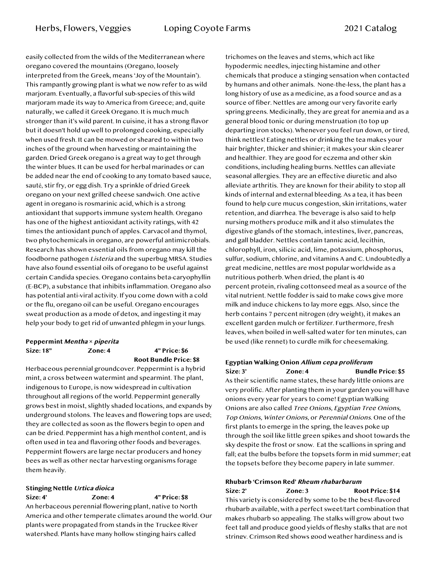easily collected from the wilds of the Mediterranean where oregano covered the mountains (Oregano, loosely interpreted from the Greek, means 'Joy of the Mountain'). This rampantly growing plant is what we now refer to as wild marjoram. Eventually, a flavorful sub-species of this wild marjoram made its way to America from Greece; and, quite naturally, we called it Greek Oregano. It is much much stronger than it's wild parent. In cuisine, it has a strong flavor but it doesn't hold up well to prolonged cooking, especially when used fresh. It can be mowed or sheared to within two inches of the ground when harvesting or maintaining the garden. Dried Greek oregano is a great way to get through the winter blues. It can be used for herbal marinades or can be added near the end of cooking to any tomato based sauce, sauté, stir fry, or egg dish. Try a sprinkle of dried Greek oregano on your next grilled cheese sandwich. One active agent in oregano is rosmarinic acid, which is a strong antioxidant that supports immune system health. Oregano has one of the highest antioxidant activity ratings, with 42 times the antioxidant punch of apples. Carvacol and thymol, two phytochemicals in oregano, are powerful antimicrobials. Research has shown essential oils from oregano may kill the foodborne pathogen Listeria and the superbug MRSA. Studies have also found essential oils of oregano to be useful against certain Candida species. Oregano contains beta-caryophyllin (E-BCP), a substance that inhibits inflammation. Oregano also has potential anti-viral activity. If you come down with a cold or the flu, oregano oil can be useful. Oregano encourages sweat production as a mode of detox, and ingesting it may help your body to get rid of unwanted phlegm in your lungs.

#### **Peppermint Mentha** *×* **piperita Size: 18" Zone: 4 4" Price: \$6 Root Bundle Price: \$8**

Herbaceous perennial groundcover. Peppermint is a hybrid mint, a cross between watermint and spearmint. The plant, indigenous to Europe, is now widespread in cultivation throughout all regions of the world. Peppermint generally grows best in moist, slightly shaded locations, and expands by underground stolons. The leaves and flowering tops are used; they are collected as soon as the flowers begin to open and can be dried. Peppermint has a high menthol content, and is often used in tea and flavoring other foods and beverages. Peppermint flowers are large nectar producers and honey bees as well as other nectar harvesting organisms forage them heavily.

# **Stinging Nettle Urtica dioica Size: 4' Zone: 4 4" Price: \$8**

An herbaceous perennial flowering plant, native to North America and other temperate climates around the world. Our plants were propagated from stands in the Truckee River watershed. Plants have many hollow stinging hairs called

trichomes on the leaves and stems, which act like hypodermic needles, injecting histamine and other chemicals that produce a stinging sensation when contacted by humans and other animals. None-the-less, the plant has a long history of use as a medicine, as a food source and as a source of fiber. Nettles are among our very favorite early spring greens. Medicinally, they are great for anemia and as a general blood tonic or during menstruation (to top up departing iron stocks). Whenever you feel run down, or tired, think nettles! Eating nettles or drinking the tea makes your hair brighter, thicker and shinier; it makes your skin clearer and healthier. They are good for eczema and other skin conditions, including healing burns. Nettles can alleviate seasonal allergies. They are an effective diuretic and also alleviate arthritis. They are known for their ability to stop all kinds of internal and external bleeding. As a tea, it has been found to help cure mucus congestion, skin irritations, water retention, and diarrhea. The beverage is also said to help nursing mothers produce milk and it also stimulates the digestive glands of the stomach, intestines, liver, pancreas, and gall bladder. Nettles contain tannic acid, lecithin, chlorophyll, iron, silicic acid, lime, potassium, phosphorus, sulfur, sodium, chlorine, and vitamins A and C. Undoubtedly a great medicine, nettles are most popular worldwide as a nutritious potherb. When dried, the plant is 40 percent protein, rivaling cottonseed meal as a source of the vital nutrient. Nettle fodder is said to make cows give more milk and induce chickens to lay more eggs. Also, since the herb contains 7 percent nitrogen (dry weight), it makes an excellent garden mulch or fertilizer. Furthermore, fresh leaves, when boiled in well-salted water for ten minutes, can be used (like rennet) to curdle milk for cheesemaking.

#### **Egyptian Walking Onion Allium cepa proliferum**

**Size: 3' Zone: 4 Bundle Price: \$5** As their scientific name states, these hardy little onions are very prolific. After planting them in your garden you will have onions every year for years to come! Egyptian Walking Onions are also called Tree Onions, Egyptian Tree Onions, Top Onions, Winter Onions, or Perennial Onions. One of the first plants to emerge in the spring, the leaves poke up through the soil like little green spikes and shoot towards the sky despite the frost or snow. Eat the scallions in spring and fall; eat the bulbs before the topsets form in mid summer; eat the topsets before they become papery in late summer.

#### **Rhubarb 'Crimson Red' Rheum rhabarbarum**

**Size: 2' Zone: 3 Root Price: \$14** This variety is considered by some to be the best-flavored rhubarb available, with a perfect sweet/tart combination that makes rhubarb so appealing. The stalks will grow about two feet tall and produce good yields of fleshy stalks that are not stringy. Crimson Red shows good weather hardiness and is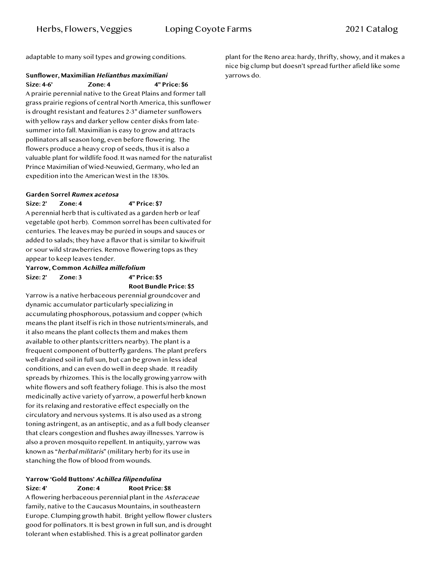adaptable to many soil types and growing conditions.

#### **Sunflower, Maximilian Helianthus maximiliani Size: 4-6' Zone: 4 4" Price: \$6**

A prairie perennial native to the Great Plains and former tall grass prairie regions of central North America, this sunflower is drought resistant and features 2-3" diameter sunflowers with yellow rays and darker yellow center disks from latesummer into fall. Maximilian is easy to grow and attracts pollinators all season long, even before flowering. The flowers produce a heavy crop of seeds, thus it is also a valuable plant for wildlife food. It was named for the naturalist Prince Maximilian of Wied-Neuwied, Germany, who led an expedition into the American West in the 1830s.

#### **Garden Sorrel Rumex acetosa**

**Size: 2' Zone: 4 4" Price: \$7** A perennial herb that is cultivated as a garden herb or leaf vegetable (pot herb). Common sorrel has been cultivated for centuries. The leaves may be puréed in soups and sauces or added to salads; they have a flavor that is similar to kiwifruit or sour wild strawberries. Remove flowering tops as they appear to keep leaves tender.

### **Yarrow, Common Achillea millefolium Size: 2' Zone: 3 4" Price: \$5**

**Root Bundle Price: \$5**

Yarrow is a native herbaceous perennial groundcover and dynamic accumulator particularly specializing in accumulating phosphorous, potassium and copper (which means the plant itself is rich in those nutrients/minerals, and it also means the plant collects them and makes them available to other plants/critters nearby). The plant is a frequent component of butterfly gardens. The plant prefers well-drained soil in full sun, but can be grown in less ideal conditions, and can even do well in deep shade. It readily spreads by rhizomes. This is the locally growing yarrow with white flowers and soft feathery foliage. This is also the most medicinally active variety of yarrow, a powerful herb known for its relaxing and restorative effect especially on the circulatory and nervous systems. It is also used as a strong toning astringent, as an antiseptic, and as a full body cleanser that clears congestion and flushes away illnesses. Yarrow is also a proven mosquito repellent. In antiquity, yarrow was known as "herbal militaris" (military herb) for its use in stanching the flow of blood from wounds.

#### **Yarrow 'Gold Buttons' Achillea filipendulina Size: 4' Zone: 4 Root Price: \$8**

A flowering herbaceous perennial plant in the Asteraceae family, native to the Caucasus Mountains, in southeastern Europe. Clumping growth habit. Bright yellow flower clusters good for pollinators. It is best grown in full sun, and is drought tolerant when established. This is a great pollinator garden

plant for the Reno area: hardy, thrifty, showy, and it makes a nice big clump but doesn't spread further afield like some yarrows do.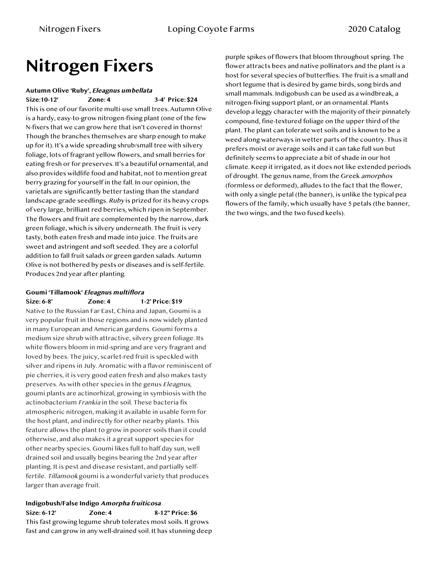# **Nitrogen Fixers**

# **Autumn Olive 'Ruby', Eleagnus umbellata**

**Size:10-12' Zone: 4 3-4' Price: \$24** This is one of our favorite multi-use small trees. Autumn Olive is a hardy, easy-to-grow nitrogen-fixing plant (one of the few N-fixers that we can grow here that isn't covered in thorns! Though the branches themselves are sharp enough to make up for it). It's a wide spreading shrub/small tree with silvery foliage, lots of fragrant yellow flowers, and small berries for eating fresh or for preserves. It's a beautiful ornamental, and also provides wildlife food and habitat, not to mention great berry grazing for yourself in the fall. In our opinion, the varietals are significantly better tasting than the standard landscape-grade seedlings. Ruby is prized for its heavy crops of very large, brilliant red berries, which ripen in September. The flowers and fruit are complemented by the narrow, dark green foliage, which is silvery underneath. The fruit is very tasty, both eaten fresh and made into juice. The fruits are sweet and astringent and soft seeded. They are a colorful addition to fall fruit salads or green garden salads. Autumn Olive is not bothered by pests or diseases and is self-fertile. Produces 2nd year after planting.

#### **Goumi 'Tillamook' Eleagnus multiflora Size: 6-8' Zone: 4 1-2' Price: \$19**

Native to the Russian Far East, China and Japan, Goumi is a very popular fruit in those regions and is now widely planted in many European and American gardens. Goumi forms a medium size shrub with attractive, silvery green foliage. Its white flowers bloom in mid-spring and are very fragrant and loved by bees. The juicy, scarlet-red fruit is speckled with silver and ripens in July. Aromatic with a flavor reminiscent of pie cherries, it is very good eaten fresh and also makes tasty preserves. As with other species in the genus Eleagnus, goumi plants are actinorhizal, growing in symbiosis with the actinobacterium Frankia in the soil. These bacteria fix atmospheric nitrogen, making it available in usable form for the host plant, and indirectly for other nearby plants. This feature allows the plant to grow in poorer soils than it could otherwise, and also makes it a great support species for other nearby species. Goumi likes full to half day sun, well drained soil and usually begins bearing the 2nd year after planting. It is pest and disease resistant, and partially selffertile. Tillamook goumi is a wonderful variety that produces larger than average fruit.

#### **Indigobush/False Indigo Amorpha fruiticosa**

**Size: 6-12' Zone: 4 8-12" Price: \$6** This fast growing legume shrub tolerates most soils. It grows fast and can grow in any well-drained soil. It has stunning deep purple spikes of flowers that bloom throughout spring. The flower attracts bees and native pollinators and the plant is a host for several species of butterflies. The fruit is a small and short legume that is desired by game birds, song birds and small mammals. Indigobush can be used as a windbreak, a nitrogen-fixing support plant, or an ornamental. Plants develop a leggy character with the majority of their pinnately compound, fine-textured foliage on the upper third of the plant. The plant can tolerate wet soils and is known to be a weed along waterways in wetter parts of the country. Thus it prefers moist or average soils and it can take full sun but definitely seems to appreciate a bit of shade in our hot climate. Keep it irrigated, as it does not like extended periods of drought. The genus name, from the Greek amorphos (formless or deformed), alludes to the fact that the flower, with only a single petal (the banner), is unlike the typical pea flowers of the family, which usually have 5 petals (the banner, the two wings, and the two fused keels).